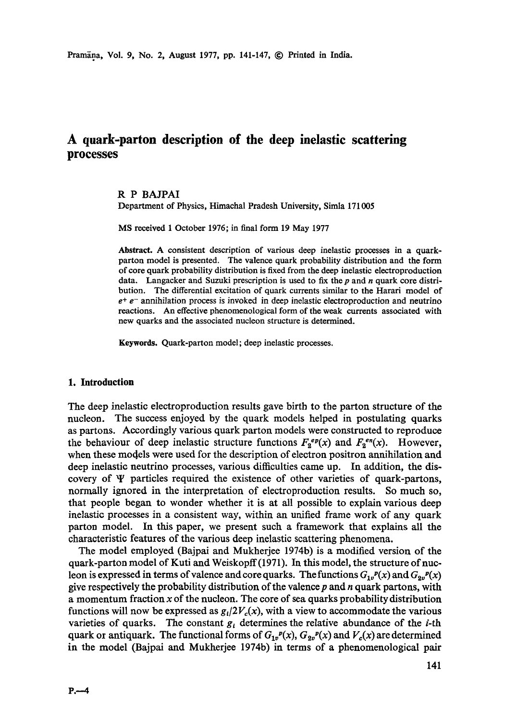# **A quark-parton description of the deep inelastic scattering processes**

#### R P BAJPAI

Department of Physics, Himachal Pradesh University, Simla 171005

MS received 1 October 1976; in final form 19 May 1977

**Abstract.** A consistent description of various deep inelastic processes in a quarkparton model is presented. The valence quark probability distribution and the form of core quark probability distribution is fixed from the deep inelastic electroproduction data. Langacker and Suzuki prescription is used to fix the  $p$  and  $n$  quark core distribution. The differential excitation of quark currents similar to the Harari model of  $e^+$  e<sup>-</sup> annihilation process is invoked in deep inelastic electroproduction and neutrino reactions. An effective phenomenological form of the weak currents associated with new quarks and the associated nucleon structure is determined.

Keywords. Quark-parton model; deep inelastic processes.

#### **1. Introduction**

The deep inelastic electroproduction results gave birth to the parton structure of the nucleon. The success enjoyed by the quark models helped in postulating quarks as partons. Accordingly various quark parton models were constructed to reproduce the behaviour of deep inelastic structure functions  $F_2^{ep}(x)$  and  $F_2^{ep}(x)$ . However, when these models were used for the description of electron positron annihilation and deep inelastic neutrino processes, various difficulties came up. In addition, the discovery of  $\Psi$  particles required the existence of other varieties of quark-partons, normally ignored in the interpretation of electroproduction results. So much so, that people began to wonder whether it is at all possible to explain various deep inelastic processes in a consistent way, within an unified frame work of any quark parton model. In this paper, we present such a framework that explains all the characteristic features of the various deep inelastic scattering phenomena.

The model employed (Bajpai and Mukherjee 1974b) is a modified version of the quark-parton model of Kuti and Weiskopff(1971). In this model, the structure of nucleon is expressed in terms of valence and core quarks. The functions  $G_{1v}^p(x)$  and  $G_{2v}^p(x)$ give respectively the probability distribution of the valence  $p$  and  $n$  quark partons, with a momentum fraction  $x$  of the nucleon. The core of sea quarks probability distribution functions will now be expressed as  $g_l/2V_c(x)$ , with a view to accommodate the various varieties of quarks. The constant  $g_i$  determines the relative abundance of the *i*-th quark or antiquark. The functional forms of  $G_{1v}^p(x)$ ,  $G_{2v}^p(x)$  and  $V_c(x)$  are determined in the model (Bajpai and Mukherjee 1974b) in terms of a phenomenological pair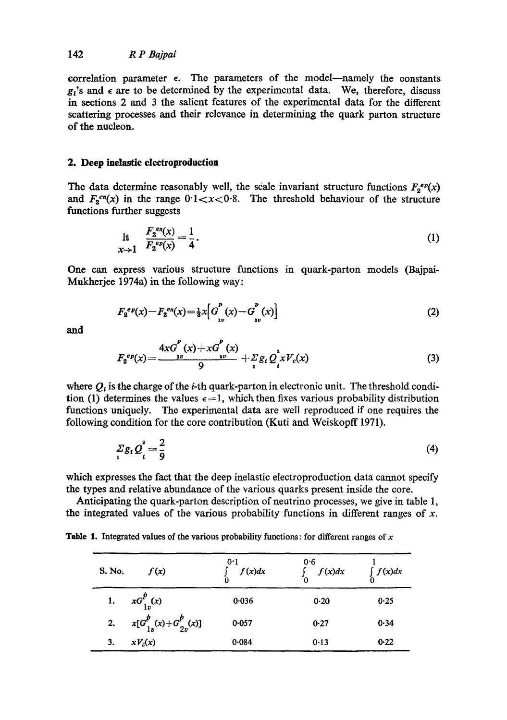correlation parameter  $\epsilon$ . The parameters of the model--namely the constants  $g<sub>i</sub>$ 's and  $\epsilon$  are to be determined by the experimental data. We, therefore, discuss in sections 2 and 3 the salient features of the experimental data for the different scattering processes and their relevance in determining the quark parton structure of the nucleon.

### **2. Deep inelastic electroproduction**

The data determine reasonably well, the scale invariant structure functions  $F_2^{ep}(x)$ and  $F_2^{en}(x)$  in the range  $0.1 < x < 0.8$ . The threshold behaviour of the structure functions further suggests

$$
\begin{array}{ll}\n\text{It} & \frac{F_2^{en}(x)}{F_2^{ep}(x)} = \frac{1}{4} \,.\n\end{array} \tag{1}
$$

One can express various structure functions in quark-parton models (Bajpai-Mukherjee 1974a) in the following way:

$$
F_2^{ep}(x) - F_2^{en}(x) = \frac{1}{3}x \Big[ G_{1v}^p(x) - G_{2v}^p(x) \Big] \tag{2}
$$

*and* 

$$
F_2^{ep}(x) = \frac{4xG^P(x) + xG^P(x)}{9} + \frac{1}{2}g_t Q_t^2 x V_c(x)
$$
 (3)

where  $Q_t$  is the charge of the *i*-th quark-parton in electronic unit. The threshold condition (1) determines the values  $\epsilon=1$ , which then fixes various probability distribution functions uniquely. The experimental data are well reproduced if one requires the following condition for the core contribution (Kuti and Weiskopff 1971).

$$
\sum_i g_i Q_i^2 = \frac{2}{9} \tag{4}
$$

which expresses the fact that the deep inelastic electroproduction data cannot specify the types and relative abundance of the various quarks present inside the core.

Anticipating the quark-parton description of neutrino processes, we give in table 1, the integrated values of the various probability functions in different ranges of  $x$ .

**Table 1.** Integrated values of the various probability functions: for different ranges of  $x$ 

| S. No. | f(x)                            | 0.1<br>f(x)dx | 0.6<br>$\int f(x)dx$ | $\int_{0} f(x) dx$ |
|--------|---------------------------------|---------------|----------------------|--------------------|
|        | 1. $xG_{1n}^{p}(x)$             | 0.036         | 0.20                 | 0.25               |
|        | 2. $x[G_{1n}^p(x)+G_{2n}^p(x)]$ | 0.057         | 0.27                 | 0.34               |
| 3.     | $xV_c(x)$                       | 0.084         | 0.13                 | 0.22               |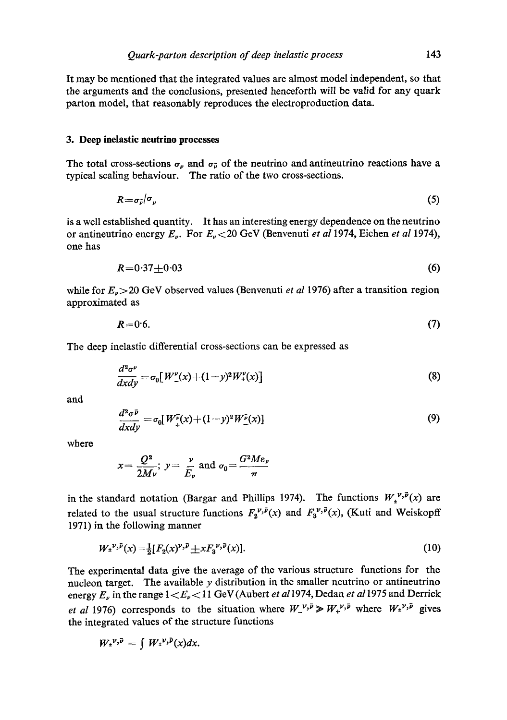It may be mentioned that the integrated values are almost model independent, so that the arguments and the conclusions, presented henceforth will be valid for any quark parton model, that reasonably reproduces the electroproduction data.

#### **3. Deep inelastic neutrino processes**

The total cross-sections  $\sigma_{\nu}$  and  $\sigma_{\nu}$  of the neutrino and antineutrino reactions have a typical scaling behaviour. The ratio of the two cross-sections.

$$
R = \sigma_{\bar{\nu}}/\sigma_{\nu} \tag{5}
$$

is a well established quantity. It has an interesting energy dependence on the neutrino or antineutrino energy E,. For E,<20 GeV (Benvenuti *et a11974,* Eichen *et al* 1974), one has

$$
R = 0.37 \pm 0.03 \tag{6}
$$

while for  $E_{\nu}$  > 20 GeV observed values (Benvenuti *et al* 1976) after a transition region approximated as

$$
R=0.6.\t\t(7)
$$

The deep inelastic differential cross-sections can be expressed as

$$
\frac{d^2\sigma^{\nu}}{dxdy} = \sigma_0[W_{-}^{\nu}(x) + (1-y)^2 W_{+}^{\nu}(x)]
$$
\n(8)

and

$$
\frac{d^2\sigma^{\bar{\nu}}}{dx dy} = \sigma_0[W_{+}^{\bar{\nu}}(x) + (1-y)^2 W_{-}^{\bar{\nu}}(x)]
$$
\n(9)

where

$$
x = \frac{Q^2}{2M\nu}
$$
;  $y = \frac{\nu}{E_{\nu}}$  and  $\sigma_0 = \frac{G^2M\varepsilon_{\nu}}{\pi}$ 

in the standard notation (Bargar and Phillips 1974). The functions  $W_1^{\nu, \bar{\nu}}(x)$  are related to the usual structure functions  $F_2^{\nu, \bar{\nu}}(x)$  and  $F_3^{\nu, \bar{\nu}}(x)$ , (Kuti and Weiskopff 1971) in the following manner

$$
W_{\pm}^{\nu,\bar{\nu}}(x) = \frac{1}{2} [F_2(x)^{\nu,\bar{\nu}} \pm x F_3^{\nu,\bar{\nu}}(x)]. \tag{10}
$$

The experimental data give the average of the various structure functions for the nucleon target. The available  $y$  distribution in the smaller neutrino or antineutrino energy  $E_{\nu}$  in the range  $1 \lt E_{\nu} \lt 11$  GeV (Aubert *et al* 1974, Dedan *et al* 1975 and Derrick *et al* 1976) corresponds to the situation where  $W_{-}^{ \nu, \bar{\nu}} \gg W_{+}^{ \nu, \bar{\nu}}$  where  $W_{+}^{ \nu, \bar{\nu}}$  gives the integrated values of the structure functions

$$
W_{\pm}^{\nu,\bar{\nu}}=\int W_{\pm}^{\nu,\bar{\nu}}(x)dx.
$$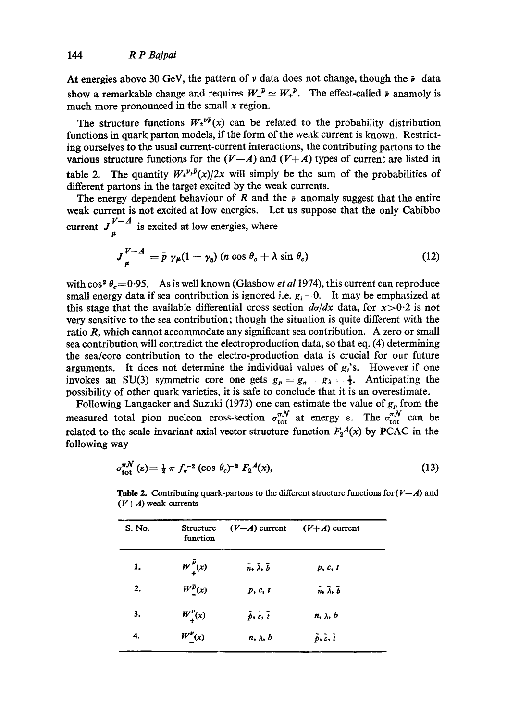At energies above 30 GeV, the pattern of  $\nu$  data does not change, though the  $\nu$  data show a remarkable change and requires  $W_{-}^{\mu} \simeq W_{+}^{\mu}$ . The effect-called  $\nu$  anamoly is much more pronounced in the small  $x$  region.

The structure functions  $W_1^{\nu \bar{\nu}}(x)$  can be related to the probability distribution functions in quark parton models, if the form of the weak current is known. Restricting ourselves to the usual current-current interactions, the contributing partons to the various structure functions for the  $(V-A)$  and  $(V+A)$  types of current are listed in table 2. The quantity  $W_{\pm}^{\nu,\bar{\nu}}(x)/2x$  will simply be the sum of the probabilities of different partons in the target excited by the weak currents.

The energy dependent behaviour of R and the  $\bar{\nu}$  anomaly suggest that the entire weak current is not excited at low energies. Let us suppose that the only Cabibbo current  $J_{\mu}^{V-A}$  is excited at low energies, where

$$
J_{\mu}^{V-A} = \bar{p} \gamma_{\mu} (1 - \gamma_{5}) \left( n \cos \theta_{c} + \lambda \sin \theta_{c} \right) \tag{12}
$$

with  $\cos^2 \theta_c = 0.95$ . As is well known (Glashow *et al* 1974), this current can reproduce small energy data if sea contribution is ignored i.e.  $g_i = 0$ . It may be emphasized at this stage that the available differential cross section  $d\sigma/dx$  data, for  $x>0.2$  is not very sensitive to the sea contribution; though the situation is quite different with the ratio R, which cannot accommodate any significant sea contribution. A zero or small sea contribution will contradict the electroproduction data, so that eq. (4) determining the sea/core contribution to the electro-production data is crucial for our future arguments. It does not determine the individual values of  $g_i$ 's. However if one invokes an SU(3) symmetric core one gets  $g_p = g_n = g_\lambda = \frac{1}{3}$ . Anticipating the possibility of other quark varieties, it is safe to conclude that it is an overestimate.

Following Langacker and Suzuki (1973) one can estimate the value of  $g_p$  from the measured total pion nucleon cross-section  $\sigma_{\text{tot}}^{\pi\mathcal{N}}$  at energy  $\varepsilon$ . The  $\sigma_{\text{tot}}^{\pi\mathcal{N}}$  can be related to the scale invariant axial vector structure function  $F_2A(x)$  by PCAC in the following way

$$
\sigma_{\text{tot}}^{\pi \mathcal{N}}(\epsilon) = \frac{1}{2} \pi f_{\sigma}^{-2} (\cos \theta_c)^{-2} F_2 A(x), \qquad (13)
$$

| S. No. | <b>Structure</b><br>function | $(V-A)$ current                         | $(V+A)$ current                         |
|--------|------------------------------|-----------------------------------------|-----------------------------------------|
| 1.     | $W^{\bar{p}}_{\perp}(x)$     | $\bar{n}$ , $\bar{\lambda}$ , $\bar{b}$ | p, c, t                                 |
| 2.     | $W^{\bar{p}}(x)$             | p, c, t                                 | $\bar{n}$ , $\bar{\lambda}$ , $\bar{b}$ |
| 3.     | $W_{\perp}^{\nu}(x)$         | $\tilde{p}, \tilde{c}, \tilde{t}$       | $n, \lambda, b$                         |
| 4.     | $W_{-}^{\nu}(x)$             | $n, \lambda, b$                         | $\tilde{p}, \tilde{c}, \tilde{t}$       |

**Table 2.** Contributing quark-partons to the different structure functions for  $(V-A)$  and  $(V+A)$  weak currents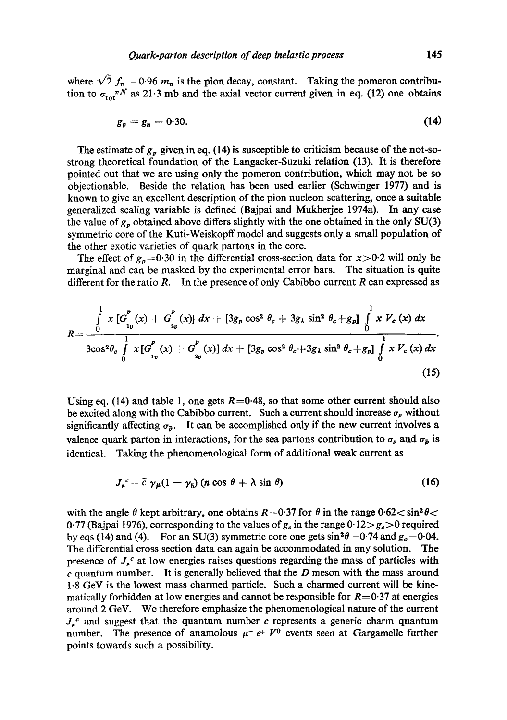where  $\sqrt{2} f_{\pi} = 0.96 m_{\pi}$  is the pion decay, constant. Taking the pomeron contribution to  $\sigma_{tot}^{\pi N}$  as 21.3 mb and the axial vector current given in eq. (12) one obtains

$$
g_p = g_n = 0.30. \tag{14}
$$

The estimate of  $g_p$  given in eq. (14) is susceptible to criticism because of the not-sostrong theoretical foundation of the Langacker-Suzuki relation (13). It is therefore pointed out that we are using only the pomeron contribution, which may not be so objectionable. Beside the relation has been used earlier (Schwinger 1977) and is known to give an excellent description of the pion nucleon scattering, once a suitable generalized scaling variable is defined (Bajpai and Mukherjee 1974a). In any case the value of  $g_p$  obtained above differs slightly with the one obtained in the only SU(3) symmetric core of the Kuti-Weiskopff model and suggests only a small population of the other exotic varieties of quark partons in the core.

The effect of  $g_n = 0.30$  in the differential cross-section data for  $x > 0.2$  will only be marginal and can be masked by the experimental error bars. The situation is quite different for the ratio  $R$ . In the presence of only Cabibbo current  $R$  can expressed as

$$
R = \frac{\int\limits_{0}^{1} x \left[ G_{_{1p}}^{p}(x) + G_{_{2p}}^{p}(x) \right] dx + \left[ 3g_{p} \cos^{2} \theta_{c} + 3g_{\lambda} \sin^{2} \theta_{c} + g_{p} \right] \int\limits_{0}^{1} x V_{c}(x) dx}{3\cos^{2} \theta_{c} \int\limits_{0}^{1} x \left[ G_{_{1p}}^{p}(x) + G_{_{2p}}^{p}(x) \right] dx + \left[ 3g_{p} \cos^{2} \theta_{c} + 3g_{\lambda} \sin^{2} \theta_{c} + g_{p} \right] \int\limits_{0}^{1} x V_{c}(x) dx}.
$$
\n(15)

Using eq. (14) and table 1, one gets  $R=0.48$ , so that some other current should also be excited along with the Cabibbo current. Such a current should increase  $\sigma_{\nu}$  without significantly affecting  $\sigma_{\bar{p}}$ . It can be accomplished only if the new current involves a valence quark parton in interactions, for the sea partons contribution to  $\sigma_{\nu}$  and  $\sigma_{\bar{\nu}}$  is identical. Taking the phenomenological form of additional weak current as

$$
J_{\rho}^{\ c} = \bar{c} \, \gamma_{\mu} (1 - \gamma_{5}) \, (n \cos \theta + \lambda \sin \theta) \tag{16}
$$

with the angle  $\theta$  kept arbitrary, one obtains  $R=0.37$  for  $\theta$  in the range  $0.62 < \sin^2 \theta <$ 0.77 (Bajpai 1976), corresponding to the values of  $g_c$  in the range 0.12 $>g_c>0$  required by eqs (14) and (4). For an SU(3) symmetric core one gets  $\sin^2\theta = 0.74$  and  $g_c = 0.04$ . The differential cross section data can again be accommodated in any solution. The presence of  $J_{\mu}^{c}$  at low energies raises questions regarding the mass of particles with c quantum number. It is generally believed that the  $D$  meson with the mass around 1.8 GeV is the lowest mass charmed particle. Such a charmed current will be kinematically forbidden at low energies and cannot be responsible for  $R=0.37$  at energies around 2 GeV. We therefore emphasize the phenomenological nature of the current  $J_{\mu}^{c}$  and suggest that the quantum number c represents a generic charm quantum number. The presence of anamolous  $\mu^- e^+ V^0$  events seen at Gargamelle further points towards such a possibility.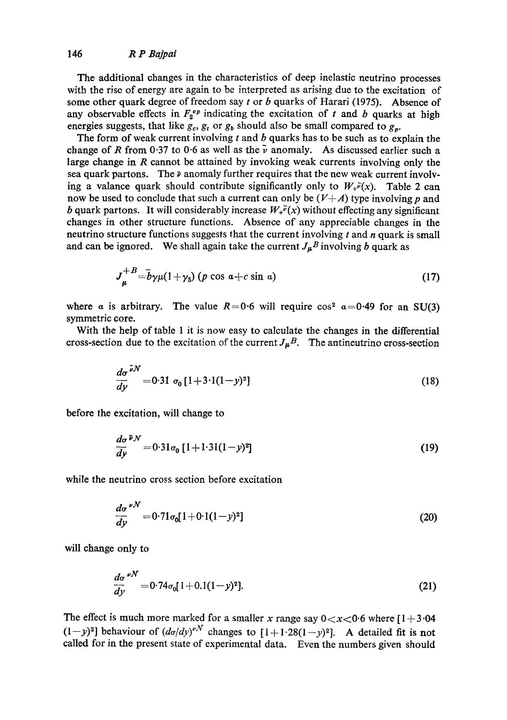The additional changes in the characteristics of deep inelastic neutrino processes with the rise of energy are again to be interpreted as arising due to the excitation of some other quark degree of freedom say  $t$  or  $b$  quarks of Harari (1975). Absence of any observable effects in  $F_2^{ep}$  indicating the excitation of t and b quarks at high energies suggests, that like  $g_c$ ,  $g_t$  or  $g_b$  should also be small compared to  $g_p$ .

The form of weak current involving  $t$  and  $b$  quarks has to be such as to explain the change of R from 0.37 to 0.6 as well as the  $\bar{\nu}$  anomaly. As discussed earlier such a large change in R cannot be attained by invoking weak currents involving only the sea quark partons. The  $\bar{p}$  anomaly further requires that the new weak current involving a valance quark should contribute significantly only to  $W_+^p(x)$ . Table 2 can now be used to conclude that such a current can only be  $(V+A)$  type involving p and b quark partons. It will considerably increase  $W_+^{\bar{p}}(x)$  without effecting any significant changes in other structure functions. Absence of any appreciable changes in the neutrino structure functions suggests that the current involving  $t$  and  $n$  quark is small and can be ignored. We shall again take the current  $J_{\mu}B$  involving b quark as

$$
J_{\mu}^{+B} = \bar{b}\gamma\mu(1+\gamma_5) \left(p\cos\alpha + c\sin\alpha\right) \tag{17}
$$

where a is arbitrary. The value  $R=0.6$  will require  $\cos^2 a = 0.49$  for an SU(3) symmetric core.

With the help of table 1 it is now easy to calculate the changes in the differential cross-section due to the excitation of the current  $J_{\mu}B$ . The antineutrino cross-section

$$
\frac{d\sigma}{dy}^{\bar{\nu}N} = 0.31 \sigma_0 [1 + 3.1(1 - y)^2]
$$
\n(18)

before the excitation, will change to

$$
\frac{d\sigma}{dy}^{\bar{p}N} = 0.31\sigma_0 \left[1 + 1.31(1 - y)^2\right]
$$
\n(19)

while the neutrino cross section before excitation

$$
\frac{d\sigma}{dy}^{\nu N} = 0.71\sigma_0[1+0.1(1-y)^2]
$$
\n(20)

will change only to

$$
\frac{d\sigma}{dy}^{\nu N} = 0.74\sigma_0[1+0.1(1-y)^2].
$$
\n(21)

The effect is much more marked for a smaller x range say  $0 < x < 0.6$  where  $[1 + 3.04]$  $(1-y)^2$ ] behaviour of  $(d\sigma/dy)^{vN}$  changes to  $[1+1.28(1-y)^2]$ . A detailed fit is not called for in the present state of experimental data. Even the numbers given should